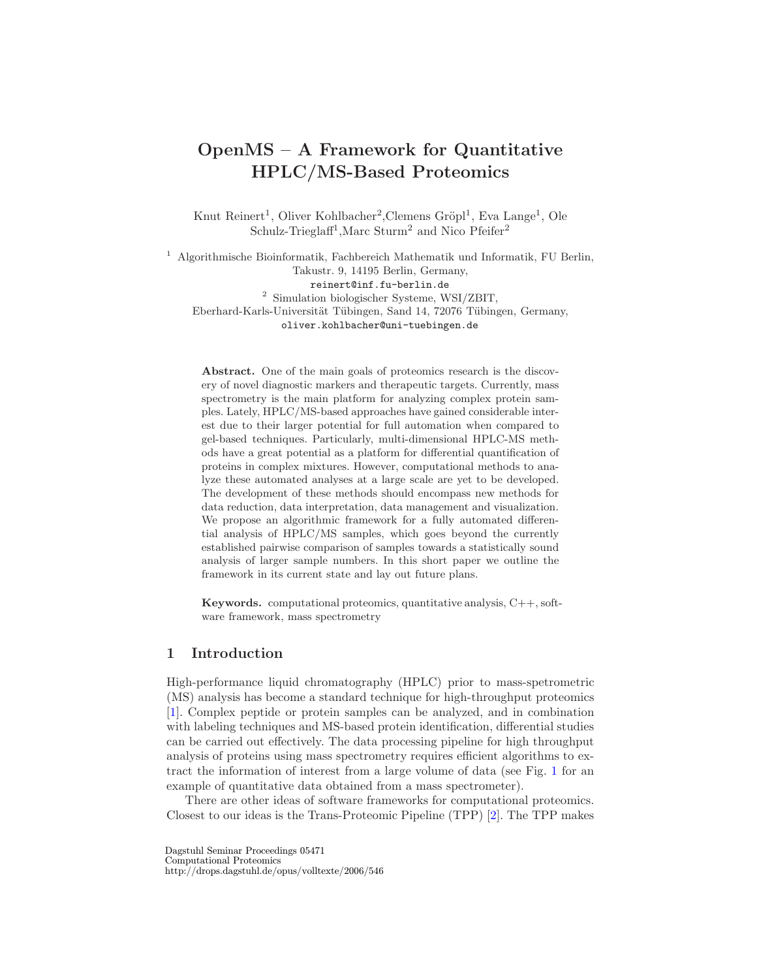# OpenMS – A Framework for Quantitative HPLC/MS-Based Proteomics

Knut Reinert<sup>1</sup>, Oliver Kohlbacher<sup>2</sup>, Clemens Gröpl<sup>1</sup>, Eva Lange<sup>1</sup>, Ole Schulz-Trieglaff<sup>1</sup>, Marc Sturm<sup>2</sup> and Nico Pfeifer<sup>2</sup>

<sup>1</sup> Algorithmische Bioinformatik, Fachbereich Mathematik und Informatik, FU Berlin, Takustr. 9, 14195 Berlin, Germany, reinert@inf.fu-berlin.de 2 Simulation biologischer Systeme, WSI/ZBIT, Eberhard-Karls-Universität Tübingen, Sand 14, 72076 Tübingen, Germany, oliver.kohlbacher@uni-tuebingen.de

Abstract. One of the main goals of proteomics research is the discovery of novel diagnostic markers and therapeutic targets. Currently, mass spectrometry is the main platform for analyzing complex protein samples. Lately, HPLC/MS-based approaches have gained considerable interest due to their larger potential for full automation when compared to gel-based techniques. Particularly, multi-dimensional HPLC-MS methods have a great potential as a platform for differential quantification of proteins in complex mixtures. However, computational methods to analyze these automated analyses at a large scale are yet to be developed. The development of these methods should encompass new methods for data reduction, data interpretation, data management and visualization. We propose an algorithmic framework for a fully automated differential analysis of HPLC/MS samples, which goes beyond the currently established pairwise comparison of samples towards a statistically sound analysis of larger sample numbers. In this short paper we outline the framework in its current state and lay out future plans.

**Keywords.** computational proteomics, quantitative analysis,  $C++$ , software framework, mass spectrometry

## 1 Introduction

High-performance liquid chromatography (HPLC) prior to mass-spetrometric (MS) analysis has become a standard technique for high-throughput proteomics [\[1\]](#page-5-0). Complex peptide or protein samples can be analyzed, and in combination with labeling techniques and MS-based protein identification, differential studies can be carried out effectively. The data processing pipeline for high throughput analysis of proteins using mass spectrometry requires efficient algorithms to extract the information of interest from a large volume of data (see Fig. [1](#page-1-0) for an example of quantitative data obtained from a mass spectrometer).

There are other ideas of software frameworks for computational proteomics. Closest to our ideas is the Trans-Proteomic Pipeline (TPP) [\[2\]](#page-5-1). The TPP makes

Dagstuhl Seminar Proceedings 05471 Computational Proteomics http://drops.dagstuhl.de/opus/volltexte/2006/546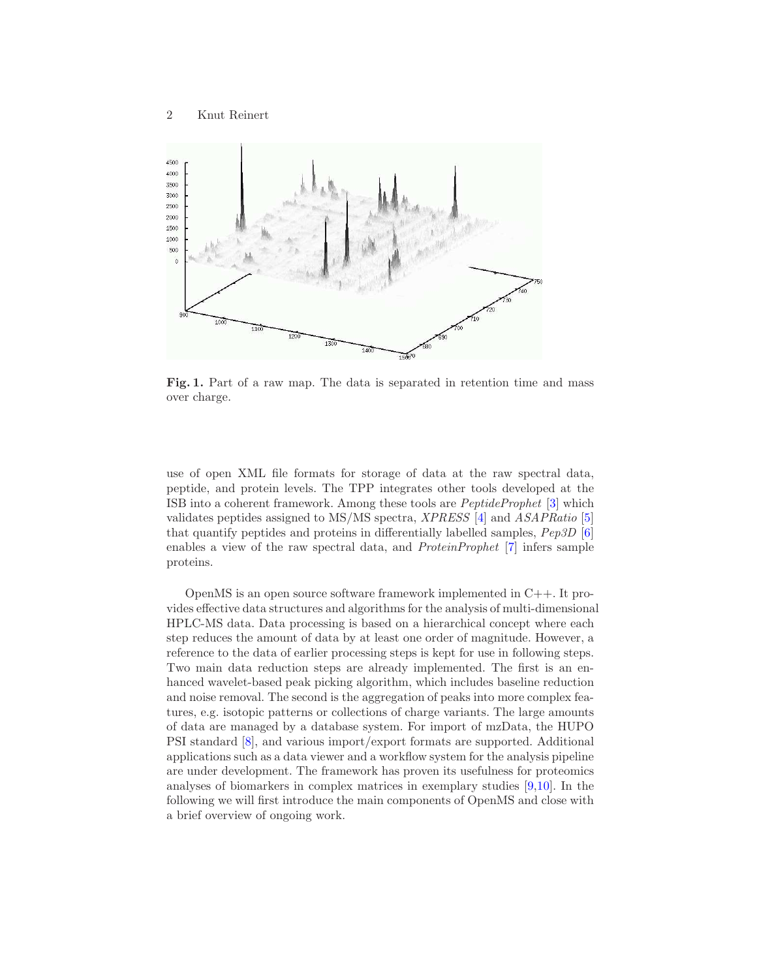

<span id="page-1-0"></span>Fig. 1. Part of a raw map. The data is separated in retention time and mass over charge.

use of open XML file formats for storage of data at the raw spectral data, peptide, and protein levels. The TPP integrates other tools developed at the ISB into a coherent framework. Among these tools are PeptideProphet [\[3\]](#page-5-2) which validates peptides assigned to MS/MS spectra, XPRESS [\[4\]](#page-5-3) and ASAPRatio [\[5\]](#page-5-4) that quantify peptides and proteins in differentially labelled samples, Pep3D [\[6\]](#page-5-5) enables a view of the raw spectral data, and ProteinProphet [\[7\]](#page-5-6) infers sample proteins.

OpenMS is an open source software framework implemented in C++. It provides effective data structures and algorithms for the analysis of multi-dimensional HPLC-MS data. Data processing is based on a hierarchical concept where each step reduces the amount of data by at least one order of magnitude. However, a reference to the data of earlier processing steps is kept for use in following steps. Two main data reduction steps are already implemented. The first is an enhanced wavelet-based peak picking algorithm, which includes baseline reduction and noise removal. The second is the aggregation of peaks into more complex features, e.g. isotopic patterns or collections of charge variants. The large amounts of data are managed by a database system. For import of mzData, the HUPO PSI standard [\[8\]](#page-6-0), and various import/export formats are supported. Additional applications such as a data viewer and a workflow system for the analysis pipeline are under development. The framework has proven its usefulness for proteomics analyses of biomarkers in complex matrices in exemplary studies [\[9,](#page-6-1)[10\]](#page-6-2). In the following we will first introduce the main components of OpenMS and close with a brief overview of ongoing work.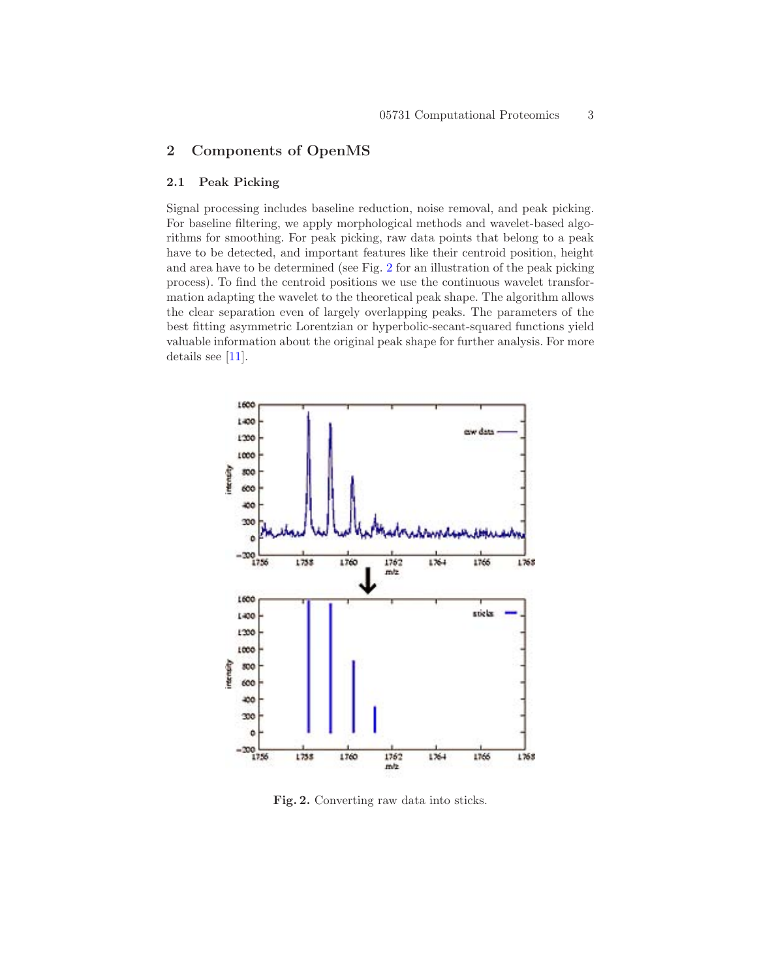## 2 Components of OpenMS

#### 2.1 Peak Picking

Signal processing includes baseline reduction, noise removal, and peak picking. For baseline filtering, we apply morphological methods and wavelet-based algorithms for smoothing. For peak picking, raw data points that belong to a peak have to be detected, and important features like their centroid position, height and area have to be determined (see Fig. [2](#page-2-0) for an illustration of the peak picking process). To find the centroid positions we use the continuous wavelet transformation adapting the wavelet to the theoretical peak shape. The algorithm allows the clear separation even of largely overlapping peaks. The parameters of the best fitting asymmetric Lorentzian or hyperbolic-secant-squared functions yield valuable information about the original peak shape for further analysis. For more details see [\[11\]](#page-6-3).



<span id="page-2-0"></span>Fig. 2. Converting raw data into sticks.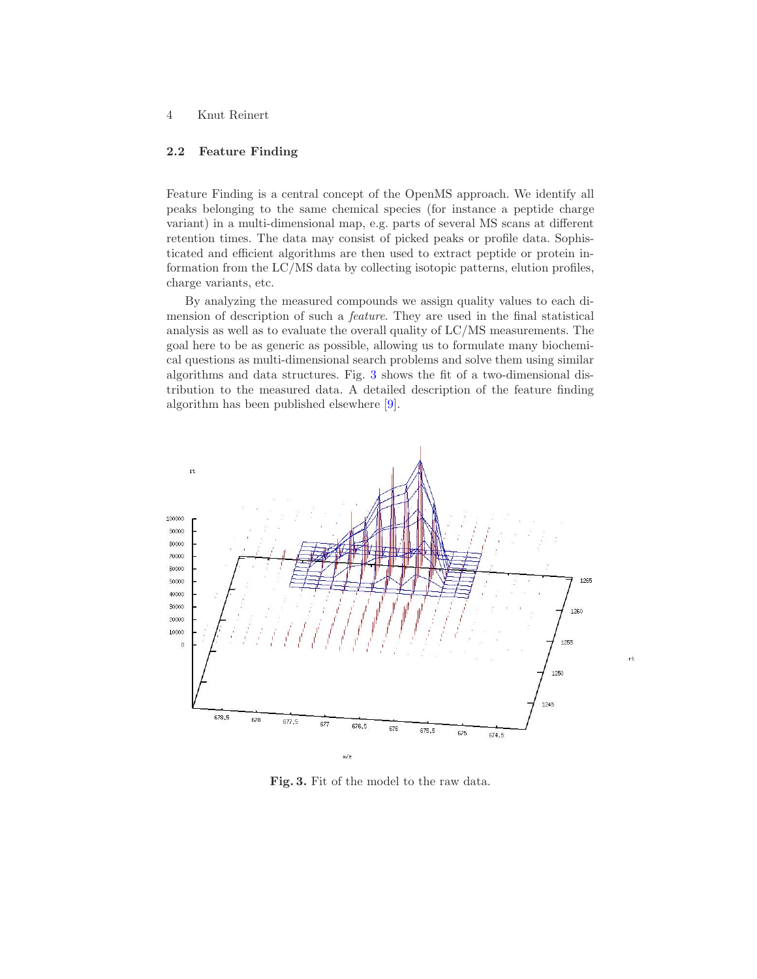## 4 Knut Reinert

#### 2.2 Feature Finding

Feature Finding is a central concept of the OpenMS approach. We identify all peaks belonging to the same chemical species (for instance a peptide charge variant) in a multi-dimensional map, e.g. parts of several MS scans at different retention times. The data may consist of picked peaks or profile data. Sophisticated and efficient algorithms are then used to extract peptide or protein information from the LC/MS data by collecting isotopic patterns, elution profiles, charge variants, etc.

By analyzing the measured compounds we assign quality values to each dimension of description of such a feature. They are used in the final statistical analysis as well as to evaluate the overall quality of LC/MS measurements. The goal here to be as generic as possible, allowing us to formulate many biochemical questions as multi-dimensional search problems and solve them using similar algorithms and data structures. Fig. [3](#page-3-0) shows the fit of a two-dimensional distribution to the measured data. A detailed description of the feature finding algorithm has been published elsewhere [\[9\]](#page-6-1).



 $rt$ 

<span id="page-3-0"></span>Fig. 3. Fit of the model to the raw data.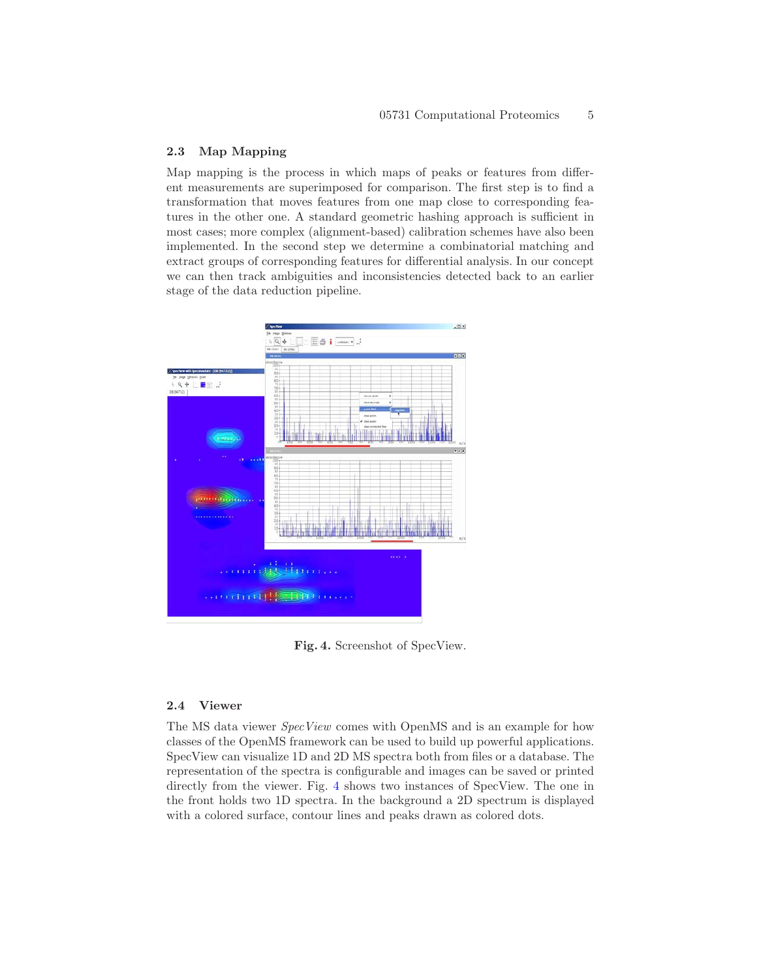#### 2.3 Map Mapping

Map mapping is the process in which maps of peaks or features from different measurements are superimposed for comparison. The first step is to find a transformation that moves features from one map close to corresponding features in the other one. A standard geometric hashing approach is sufficient in most cases; more complex (alignment-based) calibration schemes have also been implemented. In the second step we determine a combinatorial matching and extract groups of corresponding features for differential analysis. In our concept we can then track ambiguities and inconsistencies detected back to an earlier stage of the data reduction pipeline.



<span id="page-4-0"></span>Fig. 4. Screenshot of SpecView.

#### 2.4 Viewer

The MS data viewer SpecView comes with OpenMS and is an example for how classes of the OpenMS framework can be used to build up powerful applications. SpecView can visualize 1D and 2D MS spectra both from files or a database. The representation of the spectra is configurable and images can be saved or printed directly from the viewer. Fig. [4](#page-4-0) shows two instances of SpecView. The one in the front holds two 1D spectra. In the background a 2D spectrum is displayed with a colored surface, contour lines and peaks drawn as colored dots.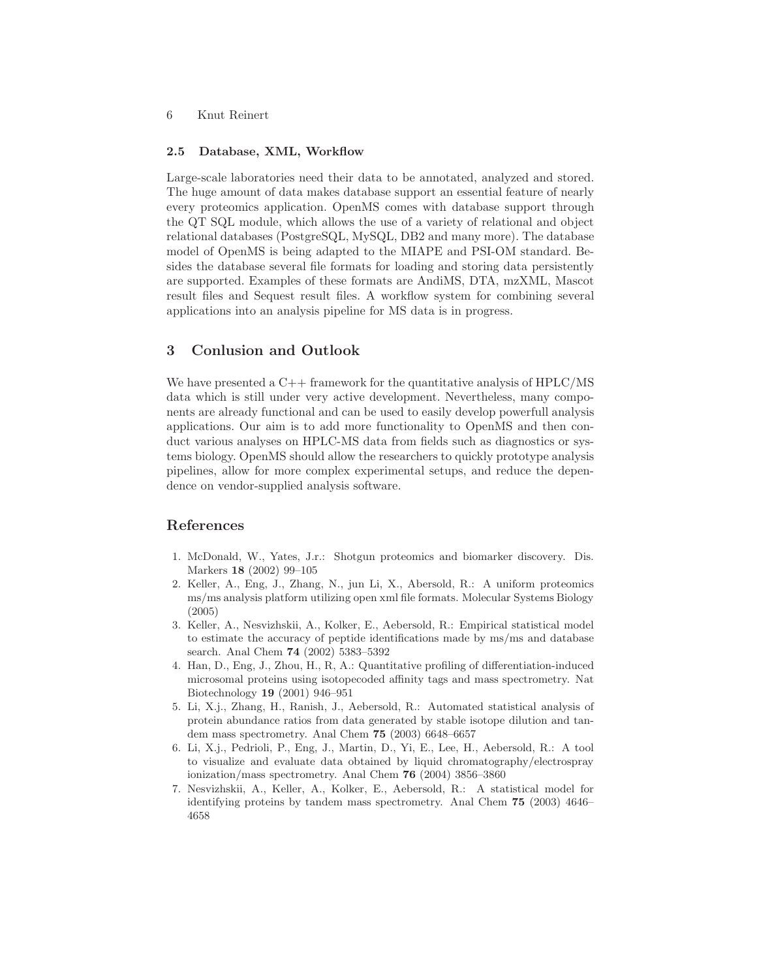#### 6 Knut Reinert

#### 2.5 Database, XML, Workflow

Large-scale laboratories need their data to be annotated, analyzed and stored. The huge amount of data makes database support an essential feature of nearly every proteomics application. OpenMS comes with database support through the QT SQL module, which allows the use of a variety of relational and object relational databases (PostgreSQL, MySQL, DB2 and many more). The database model of OpenMS is being adapted to the MIAPE and PSI-OM standard. Besides the database several file formats for loading and storing data persistently are supported. Examples of these formats are AndiMS, DTA, mzXML, Mascot result files and Sequest result files. A workflow system for combining several applications into an analysis pipeline for MS data is in progress.

## 3 Conlusion and Outlook

We have presented a  $C_{++}$  framework for the quantitative analysis of HPLC/MS data which is still under very active development. Nevertheless, many components are already functional and can be used to easily develop powerfull analysis applications. Our aim is to add more functionality to OpenMS and then conduct various analyses on HPLC-MS data from fields such as diagnostics or systems biology. OpenMS should allow the researchers to quickly prototype analysis pipelines, allow for more complex experimental setups, and reduce the dependence on vendor-supplied analysis software.

## <span id="page-5-0"></span>References

- 1. McDonald, W., Yates, J.r.: Shotgun proteomics and biomarker discovery. Dis. Markers 18 (2002) 99–105
- <span id="page-5-1"></span>2. Keller, A., Eng, J., Zhang, N., jun Li, X., Abersold, R.: A uniform proteomics ms/ms analysis platform utilizing open xml file formats. Molecular Systems Biology (2005)
- <span id="page-5-2"></span>3. Keller, A., Nesvizhskii, A., Kolker, E., Aebersold, R.: Empirical statistical model to estimate the accuracy of peptide identifications made by ms/ms and database search. Anal Chem 74 (2002) 5383–5392
- <span id="page-5-3"></span>4. Han, D., Eng, J., Zhou, H., R, A.: Quantitative profiling of differentiation-induced microsomal proteins using isotopecoded affinity tags and mass spectrometry. Nat Biotechnology 19 (2001) 946–951
- <span id="page-5-4"></span>5. Li, X.j., Zhang, H., Ranish, J., Aebersold, R.: Automated statistical analysis of protein abundance ratios from data generated by stable isotope dilution and tandem mass spectrometry. Anal Chem 75 (2003) 6648–6657
- <span id="page-5-5"></span>6. Li, X.j., Pedrioli, P., Eng, J., Martin, D., Yi, E., Lee, H., Aebersold, R.: A tool to visualize and evaluate data obtained by liquid chromatography/electrospray ionization/mass spectrometry. Anal Chem 76 (2004) 3856–3860
- <span id="page-5-6"></span>7. Nesvizhskii, A., Keller, A., Kolker, E., Aebersold, R.: A statistical model for identifying proteins by tandem mass spectrometry. Anal Chem 75 (2003) 4646– 4658